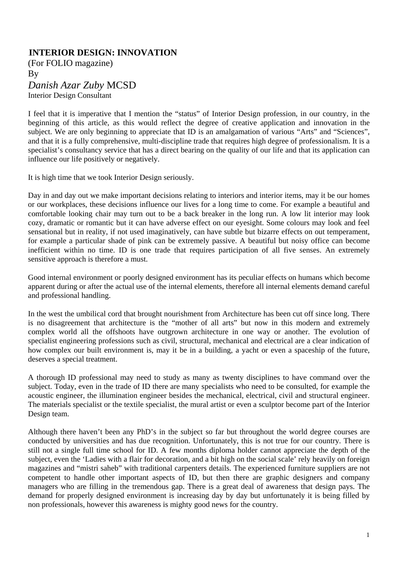## 0B**INTERIOR DESIGN: INNOVATION**

(For FOLIO magazine) By *Danish Azar Zuby* MCSD Interior Design Consultant

I feel that it is imperative that I mention the "status" of Interior Design profession, in our country, in the beginning of this article, as this would reflect the degree of creative application and innovation in the subject. We are only beginning to appreciate that ID is an amalgamation of various "Arts" and "Sciences", and that it is a fully comprehensive, multi-discipline trade that requires high degree of professionalism. It is a specialist's consultancy service that has a direct bearing on the quality of our life and that its application can influence our life positively or negatively.

It is high time that we took Interior Design seriously.

Day in and day out we make important decisions relating to interiors and interior items, may it be our homes or our workplaces, these decisions influence our lives for a long time to come. For example a beautiful and comfortable looking chair may turn out to be a back breaker in the long run. A low lit interior may look cozy, dramatic or romantic but it can have adverse effect on our eyesight. Some colours may look and feel sensational but in reality, if not used imaginatively, can have subtle but bizarre effects on out temperament, for example a particular shade of pink can be extremely passive. A beautiful but noisy office can become inefficient within no time. ID is one trade that requires participation of all five senses. An extremely sensitive approach is therefore a must.

Good internal environment or poorly designed environment has its peculiar effects on humans which become apparent during or after the actual use of the internal elements, therefore all internal elements demand careful and professional handling.

In the west the umbilical cord that brought nourishment from Architecture has been cut off since long. There is no disagreement that architecture is the "mother of all arts" but now in this modern and extremely complex world all the offshoots have outgrown architecture in one way or another. The evolution of specialist engineering professions such as civil, structural, mechanical and electrical are a clear indication of how complex our built environment is, may it be in a building, a yacht or even a spaceship of the future, deserves a special treatment.

A thorough ID professional may need to study as many as twenty disciplines to have command over the subject. Today, even in the trade of ID there are many specialists who need to be consulted, for example the acoustic engineer, the illumination engineer besides the mechanical, electrical, civil and structural engineer. The materials specialist or the textile specialist, the mural artist or even a sculptor become part of the Interior Design team.

Although there haven't been any PhD's in the subject so far but throughout the world degree courses are conducted by universities and has due recognition. Unfortunately, this is not true for our country. There is still not a single full time school for ID. A few months diploma holder cannot appreciate the depth of the subject, even the 'Ladies with a flair for decoration, and a bit high on the social scale' rely heavily on foreign magazines and "mistri saheb" with traditional carpenters details. The experienced furniture suppliers are not competent to handle other important aspects of ID, but then there are graphic designers and company managers who are filling in the tremendous gap. There is a great deal of awareness that design pays. The demand for properly designed environment is increasing day by day but unfortunately it is being filled by non professionals, however this awareness is mighty good news for the country.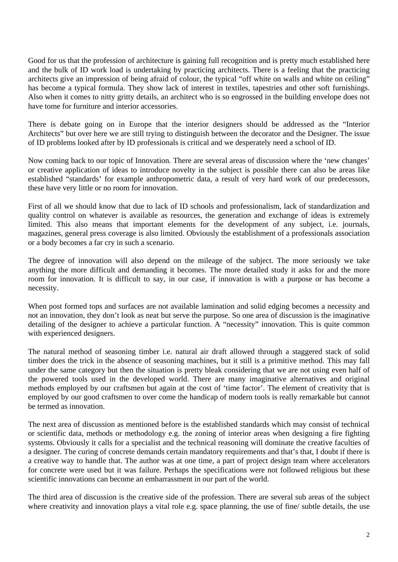Good for us that the profession of architecture is gaining full recognition and is pretty much established here and the bulk of ID work load is undertaking by practicing architects. There is a feeling that the practicing architects give an impression of being afraid of colour, the typical "off white on walls and white on ceiling" has become a typical formula. They show lack of interest in textiles, tapestries and other soft furnishings. Also when it comes to nitty gritty details, an architect who is so engrossed in the building envelope does not have tome for furniture and interior accessories.

There is debate going on in Europe that the interior designers should be addressed as the "Interior Architects" but over here we are still trying to distinguish between the decorator and the Designer. The issue of ID problems looked after by ID professionals is critical and we desperately need a school of ID.

Now coming back to our topic of Innovation. There are several areas of discussion where the 'new changes' or creative application of ideas to introduce novelty in the subject is possible there can also be areas like established "standards' for example anthropometric data, a result of very hard work of our predecessors, these have very little or no room for innovation.

First of all we should know that due to lack of ID schools and professionalism, lack of standardization and quality control on whatever is available as resources, the generation and exchange of ideas is extremely limited. This also means that important elements for the development of any subject, i.e. journals, magazines, general press coverage is also limited. Obviously the establishment of a professionals association or a body becomes a far cry in such a scenario.

The degree of innovation will also depend on the mileage of the subject. The more seriously we take anything the more difficult and demanding it becomes. The more detailed study it asks for and the more room for innovation. It is difficult to say, in our case, if innovation is with a purpose or has become a necessity.

When post formed tops and surfaces are not available lamination and solid edging becomes a necessity and not an innovation, they don't look as neat but serve the purpose. So one area of discussion is the imaginative detailing of the designer to achieve a particular function. A "necessity" innovation. This is quite common with experienced designers.

The natural method of seasoning timber i.e. natural air draft allowed through a staggered stack of solid timber does the trick in the absence of seasoning machines, but it still is a primitive method. This may fall under the same category but then the situation is pretty bleak considering that we are not using even half of the powered tools used in the developed world. There are many imaginative alternatives and original methods employed by our craftsmen but again at the cost of 'time factor'. The element of creativity that is employed by our good craftsmen to over come the handicap of modern tools is really remarkable but cannot be termed as innovation.

The next area of discussion as mentioned before is the established standards which may consist of technical or scientific data, methods or methodology e.g. the zoning of interior areas when designing a fire fighting systems. Obviously it calls for a specialist and the technical reasoning will dominate the creative faculties of a designer. The curing of concrete demands certain mandatory requirements and that's that, I doubt if there is a creative way to handle that. The author was at one time, a part of project design team where accelerators for concrete were used but it was failure. Perhaps the specifications were not followed religious but these scientific innovations can become an embarrassment in our part of the world.

The third area of discussion is the creative side of the profession. There are several sub areas of the subject where creativity and innovation plays a vital role e.g. space planning, the use of fine/ subtle details, the use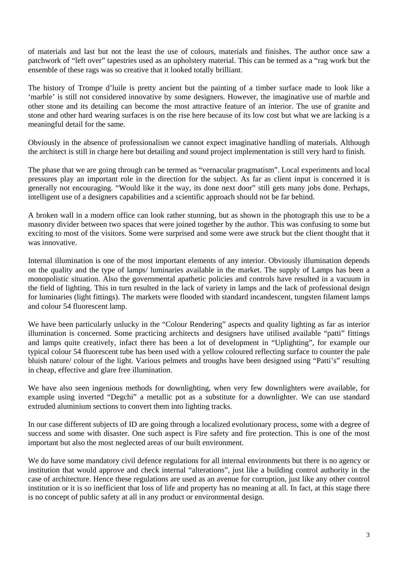of materials and last but not the least the use of colours, materials and finishes. The author once saw a patchwork of "left over" tapestries used as an upholstery material. This can be termed as a "rag work but the ensemble of these rags was so creative that it looked totally brilliant.

The history of Trompe d'luile is pretty ancient but the painting of a timber surface made to look like a 'marble' is still not considered innovative by some designers. However, the imaginative use of marble and other stone and its detailing can become the most attractive feature of an interior. The use of granite and stone and other hard wearing surfaces is on the rise here because of its low cost but what we are lacking is a meaningful detail for the same.

Obviously in the absence of professionalism we cannot expect imaginative handling of materials. Although the architect is still in charge here but detailing and sound project implementation is still very hard to finish.

The phase that we are going through can be termed as "vernacular pragmatism". Local experiments and local pressures play an important role in the direction for the subject. As far as client input is concerned it is generally not encouraging. "Would like it the way, its done next door" still gets many jobs done. Perhaps, intelligent use of a designers capabilities and a scientific approach should not be far behind.

A broken wall in a modern office can look rather stunning, but as shown in the photograph this use to be a masonry divider between two spaces that were joined together by the author. This was confusing to some but exciting to most of the visitors. Some were surprised and some were awe struck but the client thought that it was innovative.

Internal illumination is one of the most important elements of any interior. Obviously illumination depends on the quality and the type of lamps/ luminaries available in the market. The supply of Lamps has been a monopolistic situation. Also the governmental apathetic policies and controls have resulted in a vacuum in the field of lighting. This in turn resulted in the lack of variety in lamps and the lack of professional design for luminaries (light fittings). The markets were flooded with standard incandescent, tungsten filament lamps and colour 54 fluorescent lamp.

We have been particularly unlucky in the "Colour Rendering" aspects and quality lighting as far as interior illumination is concerned. Some practicing architects and designers have utilised available "patti" fittings and lamps quite creatively, infact there has been a lot of development in "Uplighting", for example our typical colour 54 fluorescent tube has been used with a yellow coloured reflecting surface to counter the pale bluish nature/ colour of the light. Various pelmets and troughs have been designed using "Patti's" resulting in cheap, effective and glare free illumination.

We have also seen ingenious methods for downlighting, when very few downlighters were available, for example using inverted "Degchi" a metallic pot as a substitute for a downlighter. We can use standard extruded aluminium sections to convert them into lighting tracks.

In our case different subjects of ID are going through a localized evolutionary process, some with a degree of success and some with disaster. One such aspect is Fire safety and fire protection. This is one of the most important but also the most neglected areas of our built environment.

We do have some mandatory civil defence regulations for all internal environments but there is no agency or institution that would approve and check internal "alterations", just like a building control authority in the case of architecture. Hence these regulations are used as an avenue for corruption, just like any other control institution or it is so inefficient that loss of life and property has no meaning at all. In fact, at this stage there is no concept of public safety at all in any product or environmental design.